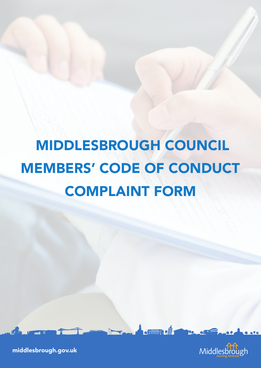# MIDDLESBROUGH COUNCIL MEMBERS' CODE OF CONDUCT COMPLAINT FORM

**\* Filling 7 2**1



middlesbrough.gov.uk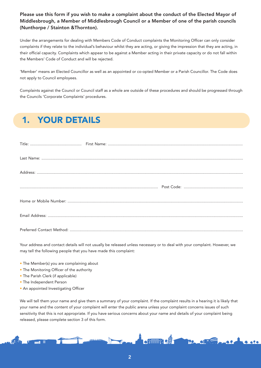Please use this form if you wish to make a complaint about the conduct of the Elected Mayor of Middlesbrough, a Member of Middlesbrough Council or a Member of one of the parish councils (Nunthorpe / Stainton &Thornton).

Under the arrangements for dealing with Members Code of Conduct complaints the Monitoring Officer can only consider complaints if they relate to the individual's behaviour whilst they are acting, or giving the impression that they are acting, in their official capacity. Complaints which appear to be against a Member acting in their private capacity or do not fall within the Members' Code of Conduct and will be rejected.

'Member' means an Elected Councillor as well as an appointed or co-opted Member or a Parish Councillor. The Code does not apply to Council employees.

Complaints against the Council or Council staff as a whole are outside of these procedures and should be progressed through the Councils 'Corporate Complaints' procedures.

## 1. YOUR DETAILS

Your address and contact details will not usually be released unless necessary or to deal with your complaint. However, we may tell the following people that you have made this complaint:

- The Member(s) you are complaining about
- The Monitoring Officer of the authority
- The Parish Clerk (if applicable)
- The Independent Person
- An appointed Investigating Officer

We will tell them your name and give them a summary of your complaint. If the complaint results in a hearing it is likely that your name and the content of your complaint will enter the public arena unless your complaint concerns issues of such sensitivity that this is not appropriate. If you have serious concerns about your name and details of your complaint being released, please complete section 3 of this form.

\* ★ インタイ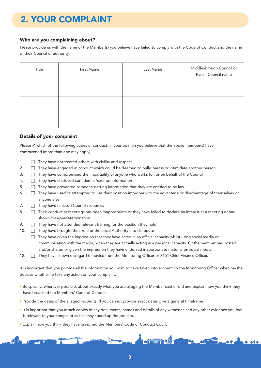## 2. YOUR COMPLAINT

### Who are you complaining about?

Please provide us with the name of the Member(s) you believe have failed to comply with the Code of Conduct and the name of their Council or authority.

| Title | First Name | Last Name | Middlesbrough Council or<br>Parish Council name |
|-------|------------|-----------|-------------------------------------------------|
|       |            |           |                                                 |
|       |            |           |                                                 |
|       |            |           |                                                 |

### Details of your complaint

Please  $\checkmark$  which of the following codes of conduct, in your opinion you believe that the above member(s) have contravened (more than one may apply):

- 1.  $\Box$  They have not treated others with civility and respect
- 2.  $\Box$  They have engaged in conduct which could be deemed to bully, harass or intimidate another person
- 3.  $\Box$  They have compromised the impartiality of anyone who works for, or on behalf of the Council
- 4. ☐ They have disclosed confidential/exempt information
- $5. \Box$  They have prevented someone getting information that they are entitled to by law
- 6. ☐ They have used or attempted to use their position improperly to the advantage or disadvantage of themselves or anyone else
- 7. □ They have misused Council resources
- 8.  $\Box$  Their conduct at meetings has been inappropriate or they have failed to declare an interest at a meeting or has shown bias/predetermination
- 9.  $\Box$  They have not attended relevant training for the position they hold
- 10. □ They have brought their role or the Local Authority into disrepute
- 11. □ They have given the impression that they have acted in an official capacity whilst using social media or communicating with the media, when they are actually acting in a personal capacity. Or the member has posted and/or shared or given the impression they have endorsed inappropriate material on social media.
- 12. □ They have shown disregard to advice from the Monitoring Officer or S151 Chief Finance Officer.

It is important that you provide all the information you wish to have taken into account by the Monitoring Officer when he/she decides whether to take any action on your complaint.

- Be specific, wherever possible, about exactly what you are alleging the Member said or did and explain how you think they have breached the Members' Code of Conduct
- Provide the dates of the alleged incidents. If you cannot provide exact dates give a general timeframe
- It is important that you attach copies of any documents, names and details of any witnesses and any other evidence you feel is relevant to your complaint as this may speed up the process.
- Explain how you think they have breached the Members' Code of Conduct Council

 $\epsilon$  finned  $\epsilon$  .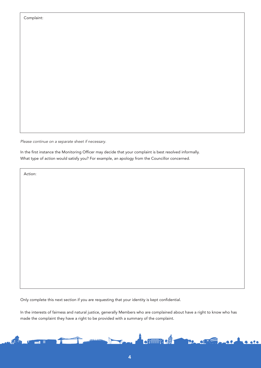| Complaint: |  |
|------------|--|
|------------|--|

*Please continue on a separate sheet if necessary.*

In the first instance the Monitoring Officer may decide that your complaint is best resolved informally. What type of action would satisfy you? For example, an apology from the Councillor concerned.

Action:

Only complete this next section if you are requesting that your identity is kept confidential.

In the interests of fairness and natural justice, generally Members who are complained about have a right to know who has made the complaint they have a right to be provided with a summary of the complaint.